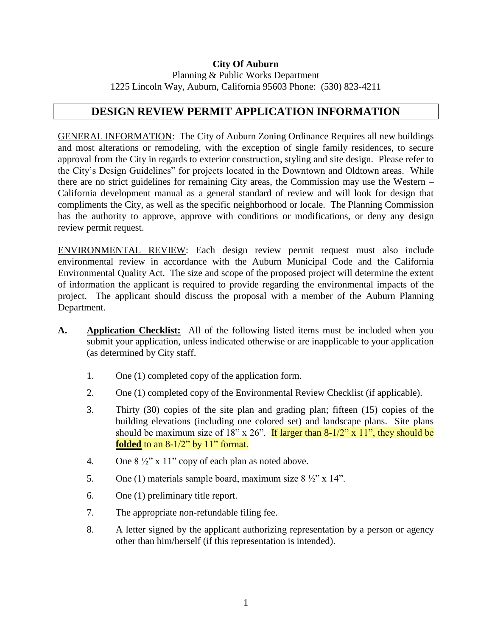## **City Of Auburn** Planning & Public Works Department 1225 Lincoln Way, Auburn, California 95603 Phone: (530) 823-4211

## **DESIGN REVIEW PERMIT APPLICATION INFORMATION**

GENERAL INFORMATION: The City of Auburn Zoning Ordinance Requires all new buildings and most alterations or remodeling, with the exception of single family residences, to secure approval from the City in regards to exterior construction, styling and site design. Please refer to the City's Design Guidelines" for projects located in the Downtown and Oldtown areas. While there are no strict guidelines for remaining City areas, the Commission may use the Western – California development manual as a general standard of review and will look for design that compliments the City, as well as the specific neighborhood or locale. The Planning Commission has the authority to approve, approve with conditions or modifications, or deny any design review permit request.

ENVIRONMENTAL REVIEW: Each design review permit request must also include environmental review in accordance with the Auburn Municipal Code and the California Environmental Quality Act. The size and scope of the proposed project will determine the extent of information the applicant is required to provide regarding the environmental impacts of the project. The applicant should discuss the proposal with a member of the Auburn Planning Department.

- **A. Application Checklist:** All of the following listed items must be included when you submit your application, unless indicated otherwise or are inapplicable to your application (as determined by City staff.
	- 1. One (1) completed copy of the application form.
	- 2. One (1) completed copy of the Environmental Review Checklist (if applicable).
	- 3. Thirty (30) copies of the site plan and grading plan; fifteen (15) copies of the building elevations (including one colored set) and landscape plans. Site plans should be maximum size of 18" x 26". If larger than  $8-1/2$ " x 11", they should be **folded** to an 8-1/2" by 11" format.
	- 4. One  $8\frac{1}{2}$ " x 11" copy of each plan as noted above.
	- 5. One (1) materials sample board, maximum size  $8\frac{1}{2}$ " x 14".
	- 6. One (1) preliminary title report.
	- 7. The appropriate non-refundable filing fee.
	- 8. A letter signed by the applicant authorizing representation by a person or agency other than him/herself (if this representation is intended).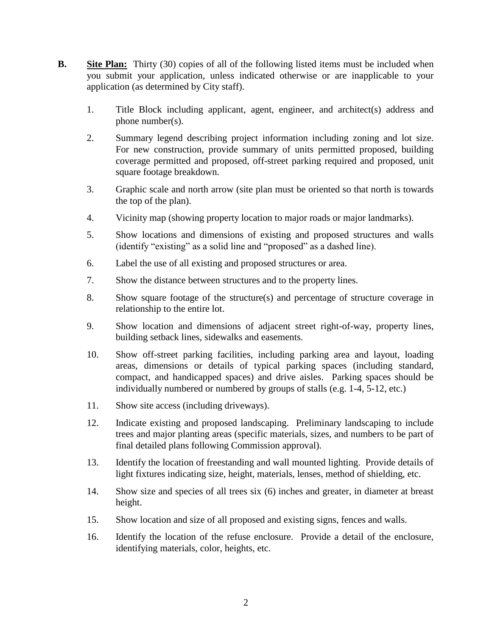- **B.** Site Plan: Thirty (30) copies of all of the following listed items must be included when you submit your application, unless indicated otherwise or are inapplicable to your application (as determined by City staff).
	- 1. Title Block including applicant, agent, engineer, and architect(s) address and phone number(s).
	- 2. Summary legend describing project information including zoning and lot size. For new construction, provide summary of units permitted proposed, building coverage permitted and proposed, off-street parking required and proposed, unit square footage breakdown.
	- 3. Graphic scale and north arrow (site plan must be oriented so that north is towards the top of the plan).
	- 4. Vicinity map (showing property location to major roads or major landmarks).
	- 5. Show locations and dimensions of existing and proposed structures and walls (identify "existing" as a solid line and "proposed" as a dashed line).
	- 6. Label the use of all existing and proposed structures or area.
	- 7. Show the distance between structures and to the property lines.
	- 8. Show square footage of the structure(s) and percentage of structure coverage in relationship to the entire lot.
	- 9. Show location and dimensions of adjacent street right-of-way, property lines, building setback lines, sidewalks and easements.
	- 10. Show off-street parking facilities, including parking area and layout, loading areas, dimensions or details of typical parking spaces (including standard, compact, and handicapped spaces) and drive aisles. Parking spaces should be individually numbered or numbered by groups of stalls (e.g. 1-4, 5-12, etc.)
	- 11. Show site access (including driveways).
	- 12. Indicate existing and proposed landscaping. Preliminary landscaping to include trees and major planting areas (specific materials, sizes, and numbers to be part of final detailed plans following Commission approval).
	- 13. Identify the location of freestanding and wall mounted lighting. Provide details of light fixtures indicating size, height, materials, lenses, method of shielding, etc.
	- 14. Show size and species of all trees six (6) inches and greater, in diameter at breast height.
	- 15. Show location and size of all proposed and existing signs, fences and walls.
	- 16. Identify the location of the refuse enclosure. Provide a detail of the enclosure, identifying materials, color, heights, etc.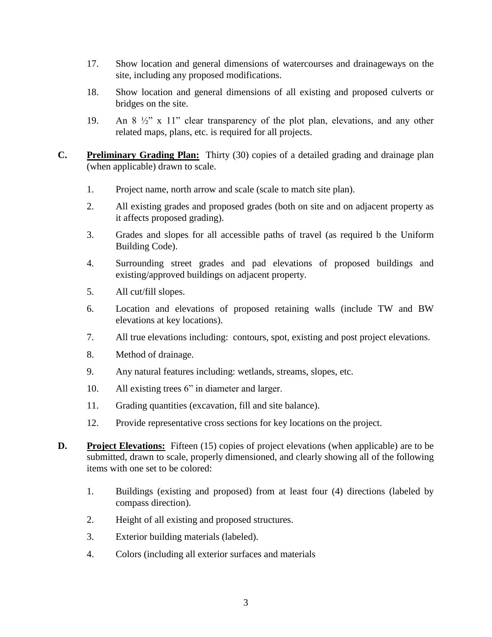- 17. Show location and general dimensions of watercourses and drainageways on the site, including any proposed modifications.
- 18. Show location and general dimensions of all existing and proposed culverts or bridges on the site.
- 19. An 8 ½" x 11" clear transparency of the plot plan, elevations, and any other related maps, plans, etc. is required for all projects.
- **C. Preliminary Grading Plan:** Thirty (30) copies of a detailed grading and drainage plan (when applicable) drawn to scale.
	- 1. Project name, north arrow and scale (scale to match site plan).
	- 2. All existing grades and proposed grades (both on site and on adjacent property as it affects proposed grading).
	- 3. Grades and slopes for all accessible paths of travel (as required b the Uniform Building Code).
	- 4. Surrounding street grades and pad elevations of proposed buildings and existing/approved buildings on adjacent property.
	- 5. All cut/fill slopes.
	- 6. Location and elevations of proposed retaining walls (include TW and BW elevations at key locations).
	- 7. All true elevations including: contours, spot, existing and post project elevations.
	- 8. Method of drainage.
	- 9. Any natural features including: wetlands, streams, slopes, etc.
	- 10. All existing trees 6" in diameter and larger.
	- 11. Grading quantities (excavation, fill and site balance).
	- 12. Provide representative cross sections for key locations on the project.
- **D. Project Elevations:** Fifteen (15) copies of project elevations (when applicable) are to be submitted, drawn to scale, properly dimensioned, and clearly showing all of the following items with one set to be colored:
	- 1. Buildings (existing and proposed) from at least four (4) directions (labeled by compass direction).
	- 2. Height of all existing and proposed structures.
	- 3. Exterior building materials (labeled).
	- 4. Colors (including all exterior surfaces and materials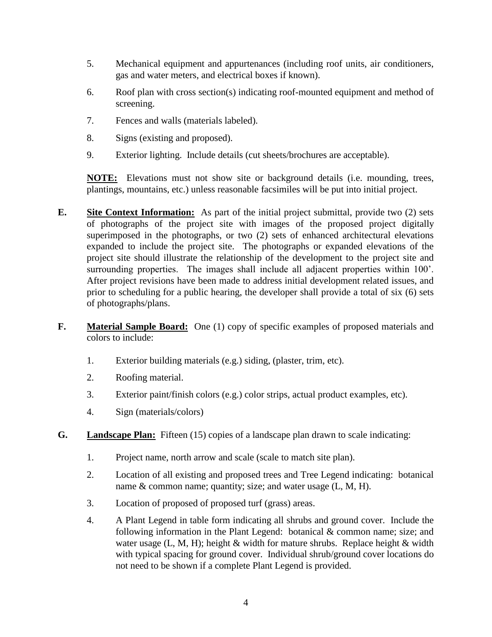- 5. Mechanical equipment and appurtenances (including roof units, air conditioners, gas and water meters, and electrical boxes if known).
- 6. Roof plan with cross section(s) indicating roof-mounted equipment and method of screening.
- 7. Fences and walls (materials labeled).
- 8. Signs (existing and proposed).
- 9. Exterior lighting. Include details (cut sheets/brochures are acceptable).

**NOTE:** Elevations must not show site or background details (i.e. mounding, trees, plantings, mountains, etc.) unless reasonable facsimiles will be put into initial project.

- **E. Site Context Information:** As part of the initial project submittal, provide two (2) sets of photographs of the project site with images of the proposed project digitally superimposed in the photographs, or two (2) sets of enhanced architectural elevations expanded to include the project site. The photographs or expanded elevations of the project site should illustrate the relationship of the development to the project site and surrounding properties. The images shall include all adjacent properties within 100'. After project revisions have been made to address initial development related issues, and prior to scheduling for a public hearing, the developer shall provide a total of six (6) sets of photographs/plans.
- **F. Material Sample Board:** One (1) copy of specific examples of proposed materials and colors to include:
	- 1. Exterior building materials (e.g.) siding, (plaster, trim, etc).
	- 2. Roofing material.
	- 3. Exterior paint/finish colors (e.g.) color strips, actual product examples, etc).
	- 4. Sign (materials/colors)
- **G. Landscape Plan:** Fifteen (15) copies of a landscape plan drawn to scale indicating:
	- 1. Project name, north arrow and scale (scale to match site plan).
	- 2. Location of all existing and proposed trees and Tree Legend indicating: botanical name & common name; quantity; size; and water usage  $(L, M, H)$ .
	- 3. Location of proposed of proposed turf (grass) areas.
	- 4. A Plant Legend in table form indicating all shrubs and ground cover. Include the following information in the Plant Legend: botanical & common name; size; and water usage  $(L, M, H)$ ; height & width for mature shrubs. Replace height & width with typical spacing for ground cover. Individual shrub/ground cover locations do not need to be shown if a complete Plant Legend is provided.